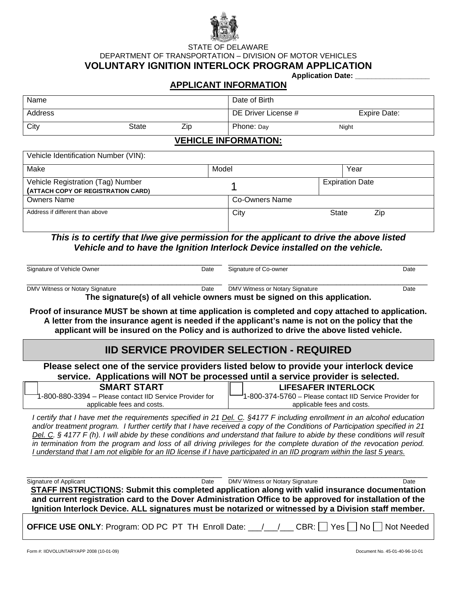

STATE OF DELAWARE DEPARTMENT OF TRANSPORTATION – DIVISION OF MOTOR VEHICLES **VOLUNTARY IGNITION INTERLOCK PROGRAM APPLICATION** 

**Application Date:** 

## **APPLICANT INFORMATION**

| Name    |       |     | Date of Birth       |              |
|---------|-------|-----|---------------------|--------------|
| Address |       |     | DE Driver License # | Expire Date: |
| City    | State | ∠ip | Phone: Day          | Night        |

## **VEHICLE INFORMATION:**

Vehicle Identification Number (VIN):

| Make                                                                    | Model          |       | Year                   |     |
|-------------------------------------------------------------------------|----------------|-------|------------------------|-----|
| Vehicle Registration (Tag) Number<br>(ATTACH COPY OF REGISTRATION CARD) |                |       | <b>Expiration Date</b> |     |
| <b>Owners Name</b>                                                      | Co-Owners Name |       |                        |     |
| Address if different than above                                         | City           | State |                        | Zip |

*This is to certify that I/we give permission for the applicant to drive the above listed Vehicle and to have the Ignition Interlock Device installed on the vehicle.* 

|                                 | Date                                                                                    |
|---------------------------------|-----------------------------------------------------------------------------------------|
| DMV Witness or Notary Signature | Date                                                                                    |
| Date                            | 美国 : 'standations'/skielt statistical securers' conceation standard and the conditional |

\_\_\_\_\_\_\_\_\_\_\_\_\_\_\_\_\_\_\_\_\_\_\_\_\_\_\_\_\_\_\_\_\_\_\_\_\_\_\_\_\_\_\_\_\_\_\_ \_\_\_\_\_\_\_\_\_\_\_\_\_\_\_\_\_\_\_\_\_\_\_\_\_\_\_\_\_\_\_\_\_\_\_\_\_\_\_\_\_\_\_\_\_\_\_\_

**The signature(s) of all vehicle owners must be signed on this application.** 

**Proof of insurance MUST be shown at time application is completed and copy attached to application. A letter from the insurance agent is needed if the applicant's name is not on the policy that the applicant will be insured on the Policy and is authorized to drive the above listed vehicle.** 

## **IID SERVICE PROVIDER SELECTION - REQUIRED**

**Please select one of the service providers listed below to provide your interlock device service. Applications will NOT be processed until a service provider is selected.** 

 **SMART START** 1-800-880-3394 – Please contact IID Service Provider for applicable fees and costs.

 **LIFESAFER INTERLOCK**  1-800-374-5760 – Please contact IID Service Provider for

applicable fees and costs. *I certify that I have met the requirements specified in 21 Del. C. §4177 F including enrollment in an alcohol education* 

*and/or treatment program. I further certify that I have received a copy of the Conditions of Participation specified in 21 Del. C. § 4177 F (h). I will abide by these conditions and understand that failure to abide by these conditions will result in termination from the program and loss of all driving privileges for the complete duration of the revocation period. I understand that I am not eligible for an IID license if I have participated in an IID program within the last 5 years.*

 $\_$  ,  $\_$  ,  $\_$  ,  $\_$  ,  $\_$  ,  $\_$  ,  $\_$  ,  $\_$  ,  $\_$  ,  $\_$  ,  $\_$  ,  $\_$  ,  $\_$  ,  $\_$  ,  $\_$  ,  $\_$  ,  $\_$  ,  $\_$  ,  $\_$  ,  $\_$  ,  $\_$  ,  $\_$  ,  $\_$  ,  $\_$  ,  $\_$  ,  $\_$  ,  $\_$  ,  $\_$  ,  $\_$  ,  $\_$  ,  $\_$  ,  $\_$  ,  $\_$  ,  $\_$  ,  $\_$  ,  $\_$  ,  $\_$  , Signature of Applicant Date DMV Witness or Notary Signature Date **STAFF INSTRUCTIONS: Submit this completed application along with valid insurance documentation and current registration card to the Dover Administration Office to be approved for installation of the Ignition Interlock Device. ALL signatures must be notarized or witnessed by a Division staff member.** 

**OFFICE USE ONLY:** Program: OD PC PT TH Enroll Date:  $/$  / CBR:  $\Box$  Yes  $\Box$  No  $\Box$  Not Needed